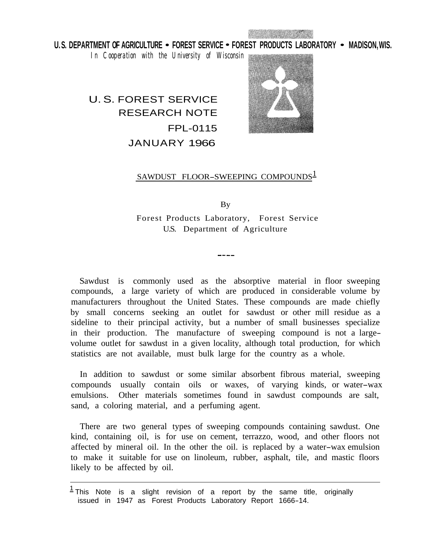U. S. DEPARTMENT OF AGRICULTURE • FOREST SERVICE • FOREST PRODUCTS LABORATORY • MADISON, WIS.

*In Cooperation with the University of Wisconsin* 

# U. S. FOREST SERVICE RESEARCH NOTE FPL-0115 JANUARY 1966



# SAWDUST FLOOR-SWEEPING COMPOUNDS

By Forest Products Laboratory, Forest Service U.S. Department of Agriculture

Sawdust is commonly used as the absorptive material in floor sweeping compounds, a large variety of which are produced in considerable volume by manufacturers throughout the United States. These compounds are made chiefly by small concerns seeking an outlet for sawdust or other mill residue as a sideline to their principal activity, but a number of small businesses specialize in their production. The manufacture of sweeping compound is not a largevolume outlet for sawdust in a given locality, although total production, for which statistics are not available, must bulk large for the country as a whole.

In addition to sawdust or some similar absorbent fibrous material, sweeping compounds usually contain oils or waxes, of varying kinds, or water-wax emulsions. Other materials sometimes found in sawdust compounds are salt, sand, a coloring material, and a perfuming agent.

There are two general types of sweeping compounds containing sawdust. One kind, containing oil, is for use on cement, terrazzo, wood, and other floors not affected by mineral oil. In the other the oil. is replaced by a water-wax emulsion to make it suitable for use on linoleum, rubber, asphalt, tile, and mastic floors likely to be affected by oil.

 $1$  This Note is a slight revision of a report by the same title, originally issued in 1947 as Forest Products Laboratory Report 1666-14.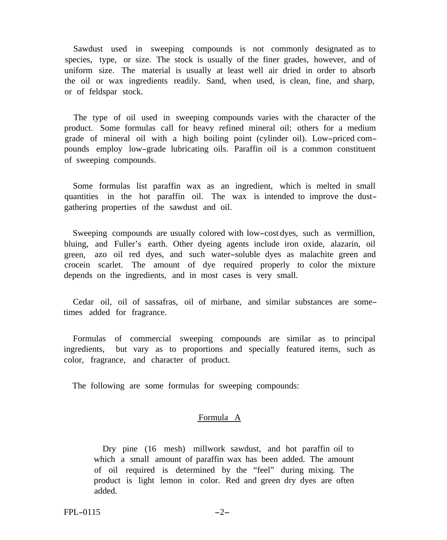Sawdust used in sweeping compounds is not commonly designated as to species, type, or size. The stock is usually of the finer grades, however, and of uniform size. The material is usually at least well air dried in order to absorb the oil or wax ingredients readily. Sand, when used, is clean, fine, and sharp, or of feldspar stock.

The type of oil used in sweeping compounds varies with the character of the product. Some formulas call for heavy refined mineral oil; others for a medium grade of mineral oil with a high boiling point (cylinder oil). Low-priced compounds employ low-grade lubricating oils. Paraffin oil is a common constituent of sweeping compounds.

Some formulas list paraffin wax as an ingredient, which is melted in small quantities in the hot paraffin oil. The wax is intended to improve the dustgathering properties of the sawdust and oil.

Sweeping compounds are usually colored with low-cost dyes, such as vermillion, bluing, and Fuller's earth. Other dyeing agents include iron oxide, alazarin, oil green, azo oil red dyes, and such water-soluble dyes as malachite green and crocein scarlet. The amount of dye required properly to color the mixture depends on the ingredients, and in most cases is very small.

Cedar oil, oil of sassafras, oil of mirbane, and similar substances are sometimes added for fragrance.

Formulas of commercial sweeping compounds are similar as to principal ingredients, but vary as to proportions and specially featured items, such as color, fragrance, and character of product.

The following are some formulas for sweeping compounds:

#### Formula A

Dry pine (16 mesh) millwork sawdust, and hot paraffin oil to which a small amount of paraffin wax has been added. The amount of oil required is determined by the "feel" during mixing. The product is light lemon in color. Red and green dry dyes are often added.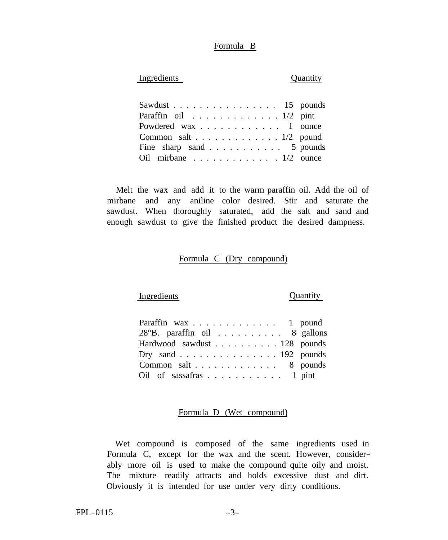#### Formula B

## Ingredients Quantity

| Sawdust $\ldots$ 15 pounds     |  |
|--------------------------------|--|
| Paraffin oil $\ldots$ 1/2 pint |  |
| Powdered wax 1 ounce           |  |
| Common salt 1/2 pound          |  |
| Fine sharp sand 5 pounds       |  |
| Oil mirbane $1/2$ ounce        |  |

Melt the wax and add it to the warm paraffin oil. Add the oil of mirbane and any aniline color desired. Stir and saturate the sawdust. When thoroughly saturated, add the salt and sand and enough sawdust to give the finished product the desired dampness.

# Formula C (Dry compound)

### Ingredients Quantity

| Paraffin wax 1 pound                   |  |
|----------------------------------------|--|
| $28^{\circ}B$ . paraffin oil 8 gallons |  |
| Hardwood sawdust 128 pounds            |  |
| Dry sand 192 pounds                    |  |
| Common salt 8 pounds                   |  |
| Oil of sassafras 1 pint                |  |

#### Formula D (Wet compound)

Wet compound is composed of the same ingredients used in Formula C, except for the wax and the scent. However, considerably more oil is used to make the compound quite oily and moist. The mixture readily attracts and holds excessive dust and dirt. Obviously it is intended for use under very dirty conditions.